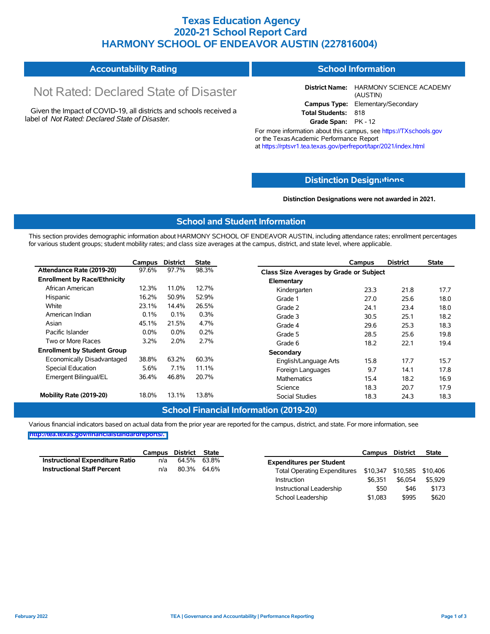## **Texas Education Agency 2020-21 School Report Card HARMONY SCHOOL OF ENDEAVOR AUSTIN (227816004)**

| <b>Accountability Rating</b><br><b>School Information</b> |
|-----------------------------------------------------------|
|-----------------------------------------------------------|

# Not Rated: Declared State of Disaster

Given the Impact of COVID-19, all districts and schools received a label of *Not Rated: Declared State of Disaster.*

**District Name:** HARMONY SCIENCE ACADEMY (AUSTIN) **Campus Type:** Elementary/Secondary **Total Students:** 818 **Grade Span:** PK - 12

For more information about this campus, see https://TXschools.gov or the Texas Academic Performance Report at https://rptsvr1.tea.texas.gov/perfreport/tapr/2021/index.html

#### **Distinction Design[ations](https://TXschools.gov)**

**Distinction Designations were not awarded in 2021.**

School Leadership  $$1,083$  \$995 \$620

#### **School and Student Information**

This section provides demographic information about HARMONY SCHOOL OF ENDEAVOR AUSTIN, including attendance rates; enrollment percentages for various student groups; student mobility rates; and class size averages at the campus, district, and state level, where applicable.

|                                     | Campus  | <b>District</b> | State | Campus                        | <b>District</b>                         | <b>State</b> |  |  |  |  |  |
|-------------------------------------|---------|-----------------|-------|-------------------------------|-----------------------------------------|--------------|--|--|--|--|--|
| Attendance Rate (2019-20)           | 97.6%   | 97.7%           | 98.3% |                               | Class Size Averages by Grade or Subject |              |  |  |  |  |  |
| <b>Enrollment by Race/Ethnicity</b> |         |                 |       | Elementary                    |                                         |              |  |  |  |  |  |
| African American                    | 12.3%   | 11.0%           | 12.7% | 23.3<br>Kindergarten          | 21.8                                    | 17.7         |  |  |  |  |  |
| Hispanic                            | 16.2%   | 50.9%           | 52.9% | Grade 1<br>27.0               | 25.6                                    | 18.0         |  |  |  |  |  |
| White                               | 23.1%   | 14.4%           | 26.5% | Grade 2<br>24.1               | 23.4                                    | 18.0         |  |  |  |  |  |
| American Indian                     | 0.1%    | 0.1%            | 0.3%  | Grade 3<br>30.5               | 25.1                                    | 18.2         |  |  |  |  |  |
| Asian                               | 45.1%   | 21.5%           | 4.7%  | Grade 4<br>29.6               | 25.3                                    | 18.3         |  |  |  |  |  |
| Pacific Islander                    | $0.0\%$ | $0.0\%$         | 0.2%  | Grade 5<br>28.5               | 25.6                                    | 19.8         |  |  |  |  |  |
| Two or More Races                   | 3.2%    | 2.0%            | 2.7%  | Grade 6<br>18.2               | 22.1                                    | 19.4         |  |  |  |  |  |
| <b>Enrollment by Student Group</b>  |         |                 |       | Secondary                     |                                         |              |  |  |  |  |  |
| Economically Disadvantaged          | 38.8%   | 63.2%           | 60.3% | 15.8<br>English/Language Arts | 17.7                                    | 15.7         |  |  |  |  |  |
| Special Education                   | 5.6%    | 7.1%            | 11.1% | 9.7<br>Foreign Languages      | 14.1                                    | 17.8         |  |  |  |  |  |
| Emergent Bilingual/EL               | 36.4%   | 46.8%           | 20.7% | <b>Mathematics</b><br>15.4    | 18.2                                    | 16.9         |  |  |  |  |  |
|                                     |         |                 |       | Science<br>18.3               | 20.7                                    | 17.9         |  |  |  |  |  |
| Mobility Rate (2019-20)             | 18.0%   | 13.1%           | 13.8% | <b>Social Studies</b><br>18.3 | 24.3                                    | 18.3         |  |  |  |  |  |

#### **School Financial Information (2019-20)**

Various financial indicators based on actual data from the prior year are reported for the campus, district, and state. For more information, see **[http://tea.texas.gov/financialstandardreports/.](http://tea.texas.gov/financialstandardreports/)**

|                                        |     | Campus District State |                                     | Campus   | <b>District</b> | <b>State</b> |
|----------------------------------------|-----|-----------------------|-------------------------------------|----------|-----------------|--------------|
| <b>Instructional Expenditure Ratio</b> | n/a | 64.5% 63.8%           | <b>Expenditures per Student</b>     |          |                 |              |
| <b>Instructional Staff Percent</b>     | n/a | 80.3% 64.6%           | <b>Total Operating Expenditures</b> | \$10,347 | \$10.585        | \$10.406     |
|                                        |     |                       | Instruction                         | \$6.351  | \$6.054         | \$5,929      |
|                                        |     |                       | Instructional Leadership            | \$50     | \$46            | \$173        |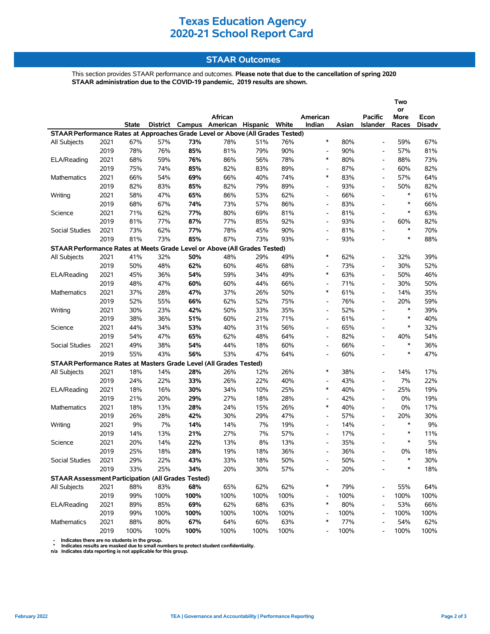## **Texas Education Agency 2020-21 School Report Card**

### **STAAR Outcomes**

This section provides STAAR performance and outcomes. **Please note that due to the cancellation of spring 2020 STAAR administration due to the COVID-19 pandemic, 2019 results are shown.**

|                                                                                |      |              |      |      | African                                 |      |      | American                 |       | <b>Pacific</b>           | Two<br>or<br>More | Econ   |
|--------------------------------------------------------------------------------|------|--------------|------|------|-----------------------------------------|------|------|--------------------------|-------|--------------------------|-------------------|--------|
|                                                                                |      | <b>State</b> |      |      | District Campus American Hispanic White |      |      | Indian                   | Asian | <b>Islander</b>          | Races             | Disadv |
| STAAR Performance Rates at Approaches Grade Level or Above (All Grades Tested) |      |              |      |      |                                         |      |      |                          |       |                          |                   |        |
| All Subjects                                                                   | 2021 | 67%          | 57%  | 73%  | 78%                                     | 51%  | 76%  | $\ast$                   | 80%   | $\overline{\phantom{a}}$ | 59%               | 67%    |
|                                                                                | 2019 | 78%          | 76%  | 85%  | 81%                                     | 79%  | 90%  | $\overline{\phantom{a}}$ | 90%   | $\overline{\phantom{a}}$ | 57%               | 81%    |
| ELA/Reading                                                                    | 2021 | 68%          | 59%  | 76%  | 86%                                     | 56%  | 78%  | *                        | 80%   | $\overline{\phantom{a}}$ | 88%               | 73%    |
|                                                                                | 2019 | 75%          | 74%  | 85%  | 82%                                     | 83%  | 89%  | $\overline{\phantom{a}}$ | 87%   |                          | 60%               | 82%    |
| Mathematics                                                                    | 2021 | 66%          | 54%  | 69%  | 66%                                     | 40%  | 74%  | $\ast$                   | 83%   | $\overline{\phantom{a}}$ | 57%               | 64%    |
|                                                                                | 2019 | 82%          | 83%  | 85%  | 82%                                     | 79%  | 89%  | $\overline{\phantom{a}}$ | 93%   | $\overline{\phantom{a}}$ | 50%               | 82%    |
| Writing                                                                        | 2021 | 58%          | 47%  | 65%  | 86%                                     | 53%  | 62%  | $\overline{\phantom{a}}$ | 66%   | $\overline{a}$           | $\ast$            | 61%    |
|                                                                                | 2019 | 68%          | 67%  | 74%  | 73%                                     | 57%  | 86%  | $\overline{\phantom{a}}$ | 83%   | $\blacksquare$           | $\ast$            | 66%    |
| Science                                                                        | 2021 | 71%          | 62%  | 77%  | 80%                                     | 69%  | 81%  | $\overline{\phantom{a}}$ | 81%   |                          | $\ast$            | 63%    |
|                                                                                | 2019 | 81%          | 77%  | 87%  | 77%                                     | 85%  | 92%  | $\overline{\phantom{a}}$ | 93%   |                          | 60%               | 82%    |
| Social Studies                                                                 | 2021 | 73%          | 62%  | 77%  | 78%                                     | 45%  | 90%  | $\overline{\phantom{a}}$ | 81%   | $\overline{\phantom{a}}$ | $\ast$            | 70%    |
|                                                                                | 2019 | 81%          | 73%  | 85%  | 87%                                     | 73%  | 93%  | $\overline{\phantom{a}}$ | 93%   |                          | $\ast$            | 88%    |
| STAAR Performance Rates at Meets Grade Level or Above (All Grades Tested)      |      |              |      |      |                                         |      |      |                          |       |                          |                   |        |
| All Subjects                                                                   | 2021 | 41%          | 32%  | 50%  | 48%                                     | 29%  | 49%  | $\ast$                   | 62%   | $\overline{\phantom{a}}$ | 32%               | 39%    |
|                                                                                | 2019 | 50%          | 48%  | 62%  | 60%                                     | 46%  | 68%  | $\overline{\phantom{a}}$ | 73%   | $\overline{\phantom{a}}$ | 30%               | 52%    |
| ELA/Reading                                                                    | 2021 | 45%          | 36%  | 54%  | 59%                                     | 34%  | 49%  | $\ast$                   | 63%   | $\overline{\phantom{a}}$ | 50%               | 46%    |
|                                                                                | 2019 | 48%          | 47%  | 60%  | 60%                                     | 44%  | 66%  | $\overline{\phantom{a}}$ | 71%   | $\blacksquare$           | 30%               | 50%    |
| Mathematics                                                                    | 2021 | 37%          | 28%  | 47%  | 37%                                     | 26%  | 50%  | $\ast$                   | 61%   | $\overline{a}$           | 14%               | 35%    |
|                                                                                | 2019 | 52%          | 55%  | 66%  | 62%                                     | 52%  | 75%  | $\overline{\phantom{a}}$ | 76%   | $\overline{\phantom{a}}$ | 20%               | 59%    |
| Writing                                                                        | 2021 | 30%          | 23%  | 42%  | 50%                                     | 33%  | 35%  | $\overline{\phantom{a}}$ | 52%   |                          | $\ast$            | 39%    |
|                                                                                | 2019 | 38%          | 36%  | 51%  | 60%                                     | 21%  | 71%  | $\overline{\phantom{a}}$ | 61%   | $\overline{\phantom{a}}$ | $\ast$            | 40%    |
| Science                                                                        | 2021 | 44%          | 34%  | 53%  | 40%                                     | 31%  | 56%  | $\overline{\phantom{a}}$ | 65%   |                          | $\ast$            | 32%    |
|                                                                                | 2019 | 54%          | 47%  | 65%  | 62%                                     | 48%  | 64%  | $\overline{\phantom{a}}$ | 82%   |                          | 40%               | 54%    |
| Social Studies                                                                 | 2021 | 49%          | 38%  | 54%  | 44%                                     | 18%  | 60%  | $\overline{\phantom{a}}$ | 66%   | $\overline{\phantom{a}}$ | $\ast$            | 36%    |
|                                                                                | 2019 | 55%          | 43%  | 56%  | 53%                                     | 47%  | 64%  | $\overline{\phantom{a}}$ | 60%   | $\overline{\phantom{a}}$ | $\ast$            | 47%    |
| STAAR Performance Rates at Masters Grade Level (All Grades Tested)             |      |              |      |      |                                         |      |      |                          |       |                          |                   |        |
| All Subjects                                                                   | 2021 | 18%          | 14%  | 28%  | 26%                                     | 12%  | 26%  | $\ast$                   | 38%   | $\blacksquare$           | 14%               | 17%    |
|                                                                                | 2019 | 24%          | 22%  | 33%  | 26%                                     | 22%  | 40%  | $\overline{\phantom{a}}$ | 43%   | $\overline{\phantom{a}}$ | 7%                | 22%    |
| ELA/Reading                                                                    | 2021 | 18%          | 16%  | 30%  | 34%                                     | 10%  | 25%  | $\ast$                   | 40%   |                          | 25%               | 19%    |
|                                                                                | 2019 | 21%          | 20%  | 29%  | 27%                                     | 18%  | 28%  | $\overline{\phantom{a}}$ | 42%   | $\overline{\phantom{a}}$ | 0%                | 19%    |
| Mathematics                                                                    | 2021 | 18%          | 13%  | 28%  | 24%                                     | 15%  | 26%  | $\ast$                   | 40%   | $\overline{\phantom{a}}$ | 0%                | 17%    |
|                                                                                | 2019 | 26%          | 28%  | 42%  | 30%                                     | 29%  | 47%  | $\overline{\phantom{a}}$ | 57%   | $\overline{a}$           | 20%               | 30%    |
| Writing                                                                        | 2021 | 9%           | 7%   | 14%  | 14%                                     | 7%   | 19%  | $\overline{\phantom{a}}$ | 14%   | $\blacksquare$           | $\ast$            | 9%     |
|                                                                                | 2019 | 14%          | 13%  | 21%  | 27%                                     | 7%   | 57%  | $\overline{\phantom{a}}$ | 17%   |                          | $\ast$            | 11%    |
| Science                                                                        | 2021 | 20%          | 14%  | 22%  | 13%                                     | 8%   | 13%  | $\overline{a}$           | 35%   |                          | $\ast$            | 5%     |
|                                                                                | 2019 | 25%          | 18%  | 28%  | 19%                                     | 18%  | 36%  | $\overline{\phantom{a}}$ | 36%   |                          | 0%                | 18%    |
| Social Studies                                                                 | 2021 | 29%          | 22%  | 43%  | 33%                                     | 18%  | 50%  |                          | 50%   |                          | $\ast$            | 30%    |
|                                                                                | 2019 | 33%          | 25%  | 34%  | 20%                                     | 30%  | 57%  |                          | 20%   |                          | $\ast$            | 18%    |
| <b>STAAR Assessment Participation (All Grades Tested)</b>                      |      |              |      |      |                                         |      |      |                          |       |                          |                   |        |
| All Subjects                                                                   | 2021 | 88%          | 83%  | 68%  | 65%                                     | 62%  | 62%  | $\ast$                   | 79%   |                          | 55%               | 64%    |
|                                                                                | 2019 | 99%          | 100% | 100% | 100%                                    | 100% | 100% | $\overline{\phantom{a}}$ | 100%  |                          | 100%              | 100%   |
| ELA/Reading                                                                    | 2021 | 89%          | 85%  | 69%  | 62%                                     | 68%  | 63%  | $\ast$                   | 80%   |                          | 53%               | 66%    |
|                                                                                | 2019 | 99%          | 100% | 100% | 100%                                    | 100% | 100% | $\overline{\phantom{a}}$ | 100%  |                          | 100%              | 100%   |
| Mathematics                                                                    | 2021 | 88%          | 80%  | 67%  | 64%                                     | 60%  | 63%  | $\ast$                   | 77%   |                          | 54%               | 62%    |
|                                                                                | 2019 | 100%         | 100% | 100% | 100%                                    | 100% | 100% |                          | 100%  |                          | 100%              | 100%   |

- Indicates there are no students in the group.<br>\* Indicates results are masked due to small numbers to protect student confidentiality.<br>n/a Indicates data reporting is not applicable for this group.